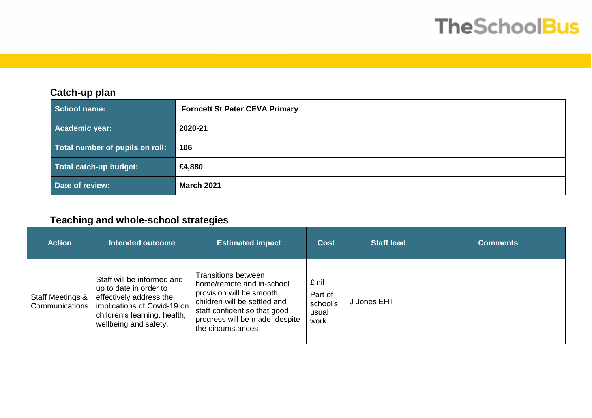# **TheSchoolBus**

#### **Catch-up plan**

| School name:                    | <b>Forncett St Peter CEVA Primary</b> |  |  |
|---------------------------------|---------------------------------------|--|--|
| Academic year:                  | 2020-21                               |  |  |
| Total number of pupils on roll: | 106                                   |  |  |
| Total catch-up budget:          | £4,880                                |  |  |
| Date of review:                 | <b>March 2021</b>                     |  |  |

## **Teaching and whole-school strategies**

| <b>Action</b>                      | <b>Intended outcome</b>                                                                                                                                                 | <b>Estimated impact</b>                                                                                                                                                                                      | <b>Cost</b>                                   | <b>Staff lead</b> | <b>Comments</b> |
|------------------------------------|-------------------------------------------------------------------------------------------------------------------------------------------------------------------------|--------------------------------------------------------------------------------------------------------------------------------------------------------------------------------------------------------------|-----------------------------------------------|-------------------|-----------------|
| Staff Meetings &<br>Communications | Staff will be informed and<br>up to date in order to<br>effectively address the<br>implications of Covid-19 on<br>children's learning, health,<br>wellbeing and safety. | <b>Transitions between</b><br>home/remote and in-school<br>provision will be smooth,<br>children will be settled and<br>staff confident so that good<br>progress will be made, despite<br>the circumstances. | £ nil<br>Part of<br>school's<br>usual<br>work | J Jones EHT       |                 |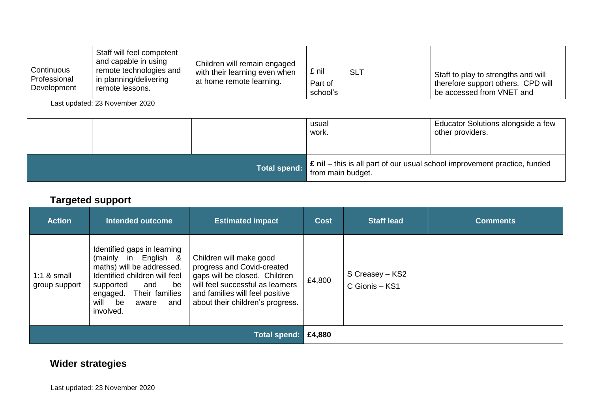| Continuous<br>Professional<br>Development | Staff will feel competent<br>and capable in using<br>remote technologies and<br>in planning/delivering<br>remote lessons. | Children will remain engaged<br>with their learning even when<br>at home remote learning. | £ nil<br>Part of<br>school's | <b>SLT</b> | Staff to play to strengths and will<br>therefore support others. CPD will<br>be accessed from VNET and |
|-------------------------------------------|---------------------------------------------------------------------------------------------------------------------------|-------------------------------------------------------------------------------------------|------------------------------|------------|--------------------------------------------------------------------------------------------------------|
|-------------------------------------------|---------------------------------------------------------------------------------------------------------------------------|-------------------------------------------------------------------------------------------|------------------------------|------------|--------------------------------------------------------------------------------------------------------|

Last updated: 23 November 2020

|  |                     | usual<br>work.    | Educator Solutions alongside a few<br>other providers.                                 |
|--|---------------------|-------------------|----------------------------------------------------------------------------------------|
|  | <b>Total spend:</b> | from main budget. | <sup>1</sup> £ nil – this is all part of our usual school improvement practice, funded |

#### **Targeted support**

| <b>Action</b>                  | <b>Intended outcome</b>                                                                                                                                                                                              | <b>Estimated impact</b>                                                                                                                                                                           | <b>Cost</b> | <b>Staff lead</b>                 | <b>Comments</b> |
|--------------------------------|----------------------------------------------------------------------------------------------------------------------------------------------------------------------------------------------------------------------|---------------------------------------------------------------------------------------------------------------------------------------------------------------------------------------------------|-------------|-----------------------------------|-----------------|
| 1:1 $&$ small<br>group support | Identified gaps in learning<br>(mainly in English &<br>maths) will be addressed.<br>Identified children will feel<br>supported<br>and<br>be<br>Their families<br>engaged.<br>will<br>be<br>and<br>aware<br>involved. | Children will make good<br>progress and Covid-created<br>gaps will be closed. Children<br>will feel successful as learners<br>and families will feel positive<br>about their children's progress. | £4,800      | S Creasey - KS2<br>C Gionis - KS1 |                 |
| Total spend:                   |                                                                                                                                                                                                                      |                                                                                                                                                                                                   |             |                                   |                 |

## **Wider strategies**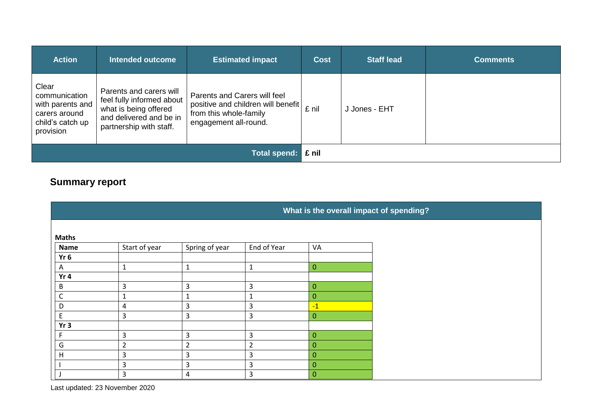| <b>Action</b>                                                                                | <b>Intended outcome</b>                                                                                                             | <b>Estimated impact</b>                                                                                               | <b>Cost</b> | <b>Staff lead</b> | <b>Comments</b> |
|----------------------------------------------------------------------------------------------|-------------------------------------------------------------------------------------------------------------------------------------|-----------------------------------------------------------------------------------------------------------------------|-------------|-------------------|-----------------|
| Clear<br>communication<br>with parents and<br>carers around<br>child's catch up<br>provision | Parents and carers will<br>feel fully informed about<br>what is being offered<br>and delivered and be in<br>partnership with staff. | Parents and Carers will feel<br>positive and children will benefit<br>from this whole-family<br>engagement all-round. | £ nil       | J Jones - EHT     |                 |
| <b>Total spend:</b>                                                                          |                                                                                                                                     |                                                                                                                       |             |                   |                 |

## **Summary report**

|              | What is the overall impact of spending? |                |                |                  |  |  |
|--------------|-----------------------------------------|----------------|----------------|------------------|--|--|
|              |                                         |                |                |                  |  |  |
| <b>Maths</b> |                                         |                |                |                  |  |  |
| <b>Name</b>  | Start of year                           | Spring of year | End of Year    | VA               |  |  |
| $Yr$ 6       |                                         |                |                |                  |  |  |
| A            | J.                                      | $\mathbf{1}$   | $\mathbf{1}$   | $\mathbf{0}$     |  |  |
| Yr 4         |                                         |                |                |                  |  |  |
| B            | 3                                       | 3              | 3              | $\mathbf{0}$     |  |  |
| $\mathsf{C}$ | 1                                       | $\mathbf{1}$   | $\mathbf{1}$   | $\mathbf 0$      |  |  |
| D            | 4                                       | 3              | 3              | $-1$             |  |  |
| $\mathsf E$  | 3                                       | 3              | 3              | $\overline{0}$   |  |  |
| Yr3          |                                         |                |                |                  |  |  |
|              | 3                                       | 3              | 3              | $\mathbf 0$      |  |  |
| G            | $\overline{2}$                          | $\overline{2}$ | $\overline{2}$ | $\mathbf{0}$     |  |  |
| H            | 3                                       | 3              | 3              | $\mathbf{0}$     |  |  |
|              | 3                                       | 3              | 3              | $\boldsymbol{0}$ |  |  |
|              | 3                                       | $\overline{a}$ | 3              | $\mathbf{0}$     |  |  |

Last updated: 23 November 2020